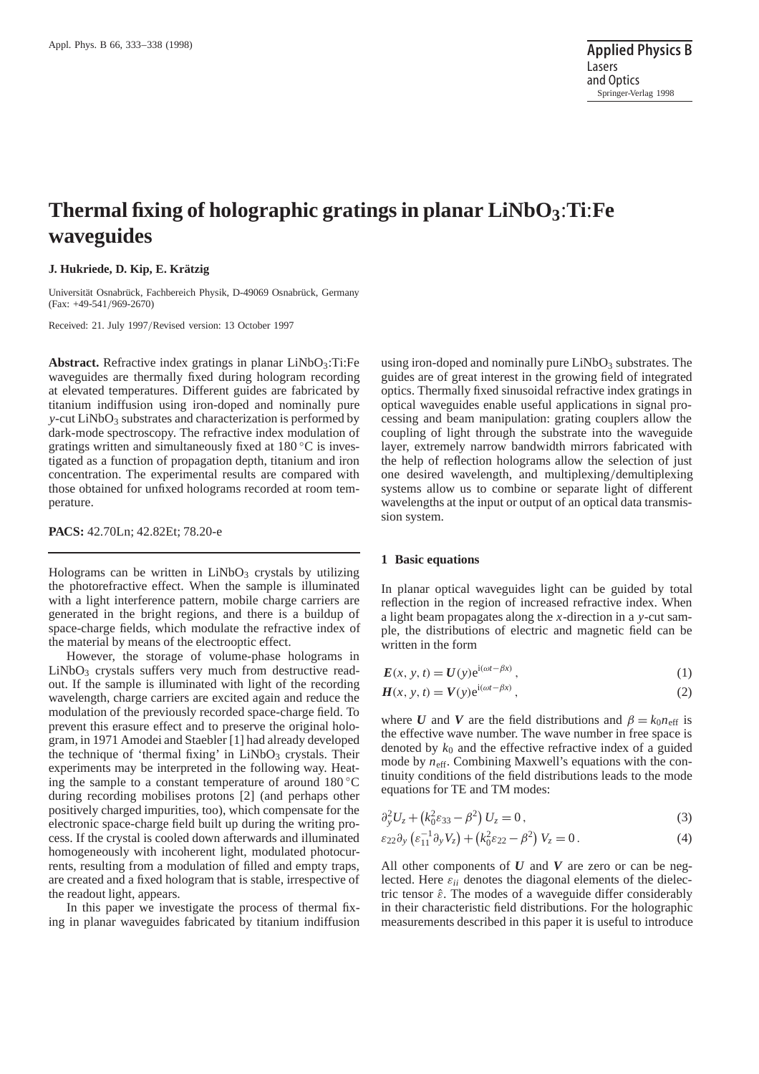# **Thermal fixing of holographic gratings in planar LiNbO3**:**Ti**:**Fe waveguides**

## **J. Hukriede, D. Kip, E. Krätzig**

Universität Osnabrück, Fachbereich Physik, D-49069 Osnabrück, Germany (Fax: +49-541/969-2670)

Received: 21. July 1997/Revised version: 13 October 1997

Abstract. Refractive index gratings in planar LiNbO<sub>3</sub>:Ti:Fe waveguides are thermally fixed during hologram recording at elevated temperatures. Different guides are fabricated by titanium indiffusion using iron-doped and nominally pure *y*-cut LiNbO<sub>3</sub> substrates and characterization is performed by dark-mode spectroscopy. The refractive index modulation of gratings written and simultaneously fixed at  $180\degree\text{C}$  is investigated as a function of propagation depth, titanium and iron concentration. The experimental results are compared with those obtained for unfixed holograms recorded at room temperature.

**PACS:** 42.70Ln; 42.82Et; 78.20-e

Holograms can be written in  $LiNbO<sub>3</sub>$  crystals by utilizing the photorefractive effect. When the sample is illuminated with a light interference pattern, mobile charge carriers are generated in the bright regions, and there is a buildup of space-charge fields, which modulate the refractive index of the material by means of the electrooptic effect.

However, the storage of volume-phase holograms in LiNbO<sub>3</sub> crystals suffers very much from destructive readout. If the sample is illuminated with light of the recording wavelength, charge carriers are excited again and reduce the modulation of the previously recorded space-charge field. To prevent this erasure effect and to preserve the original hologram, in 1971 Amodei and Staebler [1] had already developed the technique of 'thermal fixing' in  $LiNbO<sub>3</sub>$  crystals. Their experiments may be interpreted in the following way. Heating the sample to a constant temperature of around  $180\degree\text{C}$ during recording mobilises protons [2] (and perhaps other positively charged impurities, too), which compensate for the electronic space-charge field built up during the writing process. If the crystal is cooled down afterwards and illuminated homogeneously with incoherent light, modulated photocurrents, resulting from a modulation of filled and empty traps, are created and a fixed hologram that is stable, irrespective of the readout light, appears.

In this paper we investigate the process of thermal fixing in planar waveguides fabricated by titanium indiffusion

using iron-doped and nominally pure  $LiNbO<sub>3</sub>$  substrates. The guides are of great interest in the growing field of integrated optics. Thermally fixed sinusoidal refractive index gratings in optical waveguides enable useful applications in signal processing and beam manipulation: grating couplers allow the coupling of light through the substrate into the waveguide layer, extremely narrow bandwidth mirrors fabricated with the help of reflection holograms allow the selection of just one desired wavelength, and multiplexing/demultiplexing systems allow us to combine or separate light of different wavelengths at the input or output of an optical data transmission system.

#### **1 Basic equations**

In planar optical waveguides light can be guided by total reflection in the region of increased refractive index. When a light beam propagates along the *x*-direction in a *y*-cut sample, the distributions of electric and magnetic field can be written in the form

$$
E(x, y, t) = U(y)e^{i(\omega t - \beta x)},
$$
\n(1)

$$
H(x, y, t) = V(y)e^{i(\omega t - \beta x)}, \qquad (2)
$$

where *U* and *V* are the field distributions and  $\beta = k_0 n_{\text{eff}}$  is the effective wave number. The wave number in free space is denoted by  $k_0$  and the effective refractive index of a guided mode by  $n_{\text{eff}}$ . Combining Maxwell's equations with the continuity conditions of the field distributions leads to the mode equations for TE and TM modes:

$$
\partial_y^2 U_z + (k_0^2 \varepsilon_{33} - \beta^2) U_z = 0, \qquad (3)
$$

$$
\varepsilon_{22}\partial_y\left(\varepsilon_{11}^{-1}\partial_yV_z\right) + \left(k_0^2\varepsilon_{22} - \beta^2\right)V_z = 0\,. \tag{4}
$$

All other components of *U* and *V* are zero or can be neglected. Here  $\varepsilon_{ii}$  denotes the diagonal elements of the dielectric tensor  $\hat{\epsilon}$ . The modes of a waveguide differ considerably in their characteristic field distributions. For the holographic measurements described in this paper it is useful to introduce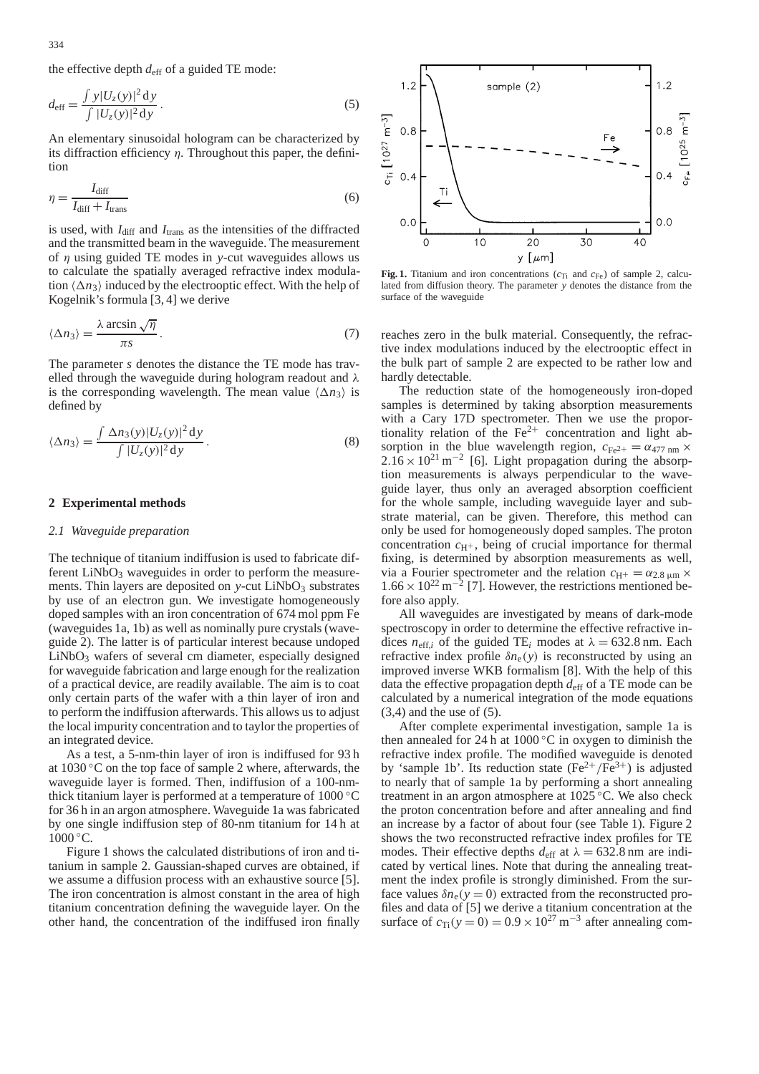the effective depth *d*eff of a guided TE mode:

$$
d_{\text{eff}} = \frac{\int y |U_z(y)|^2 dy}{\int |U_z(y)|^2 dy}.
$$
 (5)

An elementary sinusoidal hologram can be characterized by its diffraction efficiency  $\eta$ . Throughout this paper, the definition

$$
\eta = \frac{I_{\text{diff}}}{I_{\text{diff}} + I_{\text{trans}}}
$$
(6)

is used, with  $I_{\text{diff}}$  and  $I_{\text{trans}}$  as the intensities of the diffracted and the transmitted beam in the waveguide. The measurement of η using guided TE modes in *y*-cut waveguides allows us to calculate the spatially averaged refractive index modulation  $\langle \Delta n_3 \rangle$  induced by the electrooptic effect. With the help of Kogelnik's formula [3, 4] we derive

$$
\langle \Delta n_3 \rangle = \frac{\lambda \arcsin \sqrt{\eta}}{\pi s} \,. \tag{7}
$$

The parameter *s* denotes the distance the TE mode has travelled through the waveguide during hologram readout and  $\lambda$ is the corresponding wavelength. The mean value  $\langle \Delta n_3 \rangle$  is defined by

$$
\langle \Delta n_3 \rangle = \frac{\int \Delta n_3(y) |U_z(y)|^2 dy}{\int |U_z(y)|^2 dy}.
$$
 (8)

## **2 Experimental methods**

#### *2.1 Waveguide preparation*

The technique of titanium indiffusion is used to fabricate different  $LiNbO<sub>3</sub>$  waveguides in order to perform the measurements. Thin layers are deposited on  $y$ -cut  $LiNbO<sub>3</sub>$  substrates by use of an electron gun. We investigate homogeneously doped samples with an iron concentration of 674 mol ppm Fe (waveguides 1a, 1b) as well as nominally pure crystals (waveguide 2). The latter is of particular interest because undoped  $LiNbO<sub>3</sub>$  wafers of several cm diameter, especially designed for waveguide fabrication and large enough for the realization of a practical device, are readily available. The aim is to coat only certain parts of the wafer with a thin layer of iron and to perform the indiffusion afterwards. This allows us to adjust the local impurity concentration and to taylor the properties of an integrated device.

As a test, a 5-nm-thin layer of iron is indiffused for 93 h at 1030 ◦C on the top face of sample 2 where, afterwards, the waveguide layer is formed. Then, indiffusion of a 100-nmthick titanium layer is performed at a temperature of 1000 ◦C for 36 h in an argon atmosphere. Waveguide 1a was fabricated by one single indiffusion step of 80-nm titanium for 14 h at  $1000 °C$ .

Figure 1 shows the calculated distributions of iron and titanium in sample 2. Gaussian-shaped curves are obtained, if we assume a diffusion process with an exhaustive source [5]. The iron concentration is almost constant in the area of high titanium concentration defining the waveguide layer. On the other hand, the concentration of the indiffused iron finally



**Fig. 1.** Titanium and iron concentrations  $(c_{Ti}$  and  $c_{Fe}$ ) of sample 2, calculated from diffusion theory. The parameter *y* denotes the distance from the surface of the waveguide

reaches zero in the bulk material. Consequently, the refractive index modulations induced by the electrooptic effect in the bulk part of sample 2 are expected to be rather low and hardly detectable.

The reduction state of the homogeneously iron-doped samples is determined by taking absorption measurements with a Cary 17D spectrometer. Then we use the proportionality relation of the  $Fe^{2+}$  concentration and light absorption in the blue wavelength region,  $c_{Fe^{2+}} = \alpha_{477 \text{ nm}} \times$  $2.16 \times 10^{21}$  m<sup>-2</sup> [6]. Light propagation during the absorption measurements is always perpendicular to the waveguide layer, thus only an averaged absorption coefficient for the whole sample, including waveguide layer and substrate material, can be given. Therefore, this method can only be used for homogeneously doped samples. The proton concentration  $c_{H^+}$ , being of crucial importance for thermal fixing, is determined by absorption measurements as well, via a Fourier spectrometer and the relation  $c_{\text{H}^+} = \alpha_{2.8 \mu \text{m}} \times$  $1.66 \times 10^{22}$  m<sup>-2</sup> [7]. However, the restrictions mentioned before also apply.

All waveguides are investigated by means of dark-mode spectroscopy in order to determine the effective refractive indices  $n_{\text{eff},i}$  of the guided TE<sub>i</sub> modes at  $\lambda = 632.8$  nm. Each refractive index profile  $\delta n_e(y)$  is reconstructed by using an improved inverse WKB formalism [8]. With the help of this data the effective propagation depth *d*eff of a TE mode can be calculated by a numerical integration of the mode equations  $(3,4)$  and the use of  $(5)$ .

After complete experimental investigation, sample 1a is then annealed for 24 h at  $1000\,^{\circ}\text{C}$  in oxygen to diminish the refractive index profile. The modified waveguide is denoted by 'sample 1b'. Its reduction state  $(Fe^{2+}/Fe^{3+})$  is adjusted to nearly that of sample 1a by performing a short annealing treatment in an argon atmosphere at 1025 ◦C. We also check the proton concentration before and after annealing and find an increase by a factor of about four (see Table 1). Figure 2 shows the two reconstructed refractive index profiles for TE modes. Their effective depths  $d_{\text{eff}}$  at  $\lambda = 632.8$  nm are indicated by vertical lines. Note that during the annealing treatment the index profile is strongly diminished. From the surface values  $\delta n_e(y=0)$  extracted from the reconstructed profiles and data of [5] we derive a titanium concentration at the surface of  $c_{Ti}(y=0) = 0.9 \times 10^{27} \text{ m}^{-3}$  after annealing com-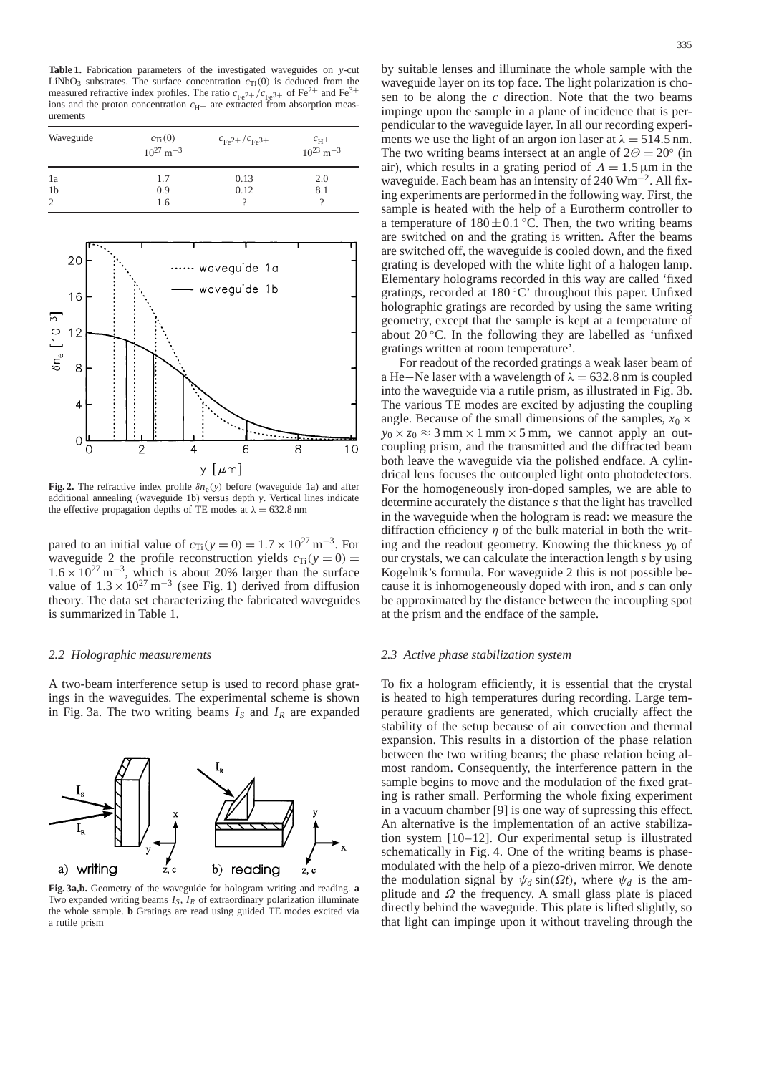**Table 1.** Fabrication parameters of the investigated waveguides on *y*-cut LiNbO<sub>3</sub> substrates. The surface concentration  $c_{Ti}(0)$  is deduced from the measured refractive index profiles. The ratio  $c_{Fe^{2+}}/c_{Fe^{3+}}$  of Fe<sup>2+</sup> and Fe<sup>3-</sup> ions and the proton concentration  $c_{\text{H}+}$  are extracted from absorption measurements

| Waveguide           | $c_{\text{Ti}}(0)$<br>$10^{27}$ m <sup>-3</sup> | $c_{\text{Fe2+}}/c_{\text{Fe3+}}$ | $c_{\rm H}+$<br>$10^{23}$ m <sup>-3</sup> |
|---------------------|-------------------------------------------------|-----------------------------------|-------------------------------------------|
| 1a                  | 1.7                                             | 0.13                              | 2.0                                       |
| 1 <sub>b</sub><br>2 | 0.9<br>1.6                                      | 0.12<br>9                         | 8.1<br>9                                  |



**Fig. 2.** The refractive index profile  $\delta n_e(y)$  before (waveguide 1a) and after additional annealing (waveguide 1b) versus depth *y*. Vertical lines indicate the effective propagation depths of TE modes at  $\lambda = 632.8$  nm

pared to an initial value of  $c_{Ti}(y=0) = 1.7 \times 10^{27} \text{ m}^{-3}$ . For waveguide 2 the profile reconstruction yields  $c_{Ti}(y=0)$  =  $1.6 \times 10^{27}$  m<sup>-3</sup>, which is about 20% larger than the surface value of  $1.3 \times 10^{27}$  m<sup>-3</sup> (see Fig. 1) derived from diffusion theory. The data set characterizing the fabricated waveguides is summarized in Table 1.

## *2.2 Holographic measurements*

A two-beam interference setup is used to record phase gratings in the waveguides. The experimental scheme is shown in Fig. 3a. The two writing beams  $I_S$  and  $I_R$  are expanded



**Fig. 3a,b.** Geometry of the waveguide for hologram writing and reading. **a** Two expanded writing beams *IS*, *IR* of extraordinary polarization illuminate the whole sample. **b** Gratings are read using guided TE modes excited via a rutile prism

by suitable lenses and illuminate the whole sample with the waveguide layer on its top face. The light polarization is chosen to be along the *c* direction. Note that the two beams impinge upon the sample in a plane of incidence that is perpendicular to the waveguide layer. In all our recording experiments we use the light of an argon ion laser at  $\lambda = 514.5$  nm. The two writing beams intersect at an angle of  $2\Theta = 20^\circ$  (in air), which results in a grating period of  $\Lambda = 1.5 \,\mu\text{m}$  in the waveguide. Each beam has an intensity of 240 Wm−2. All fixing experiments are performed in the following way. First, the sample is heated with the help of a Eurotherm controller to a temperature of  $180 \pm 0.1$  °C. Then, the two writing beams are switched on and the grating is written. After the beams are switched off, the waveguide is cooled down, and the fixed grating is developed with the white light of a halogen lamp. Elementary holograms recorded in this way are called 'fixed gratings, recorded at  $180^{\circ}$ C' throughout this paper. Unfixed holographic gratings are recorded by using the same writing geometry, except that the sample is kept at a temperature of about  $20^{\circ}$ C. In the following they are labelled as 'unfixed gratings written at room temperature'.

For readout of the recorded gratings a weak laser beam of a He–Ne laser with a wavelength of  $\lambda = 632.8$  nm is coupled into the waveguide via a rutile prism, as illustrated in Fig. 3b. The various TE modes are excited by adjusting the coupling angle. Because of the small dimensions of the samples,  $x_0 \times$  $y_0 \times z_0 \approx 3$  mm  $\times$  1 mm  $\times$  5 mm, we cannot apply an outcoupling prism, and the transmitted and the diffracted beam both leave the waveguide via the polished endface. A cylindrical lens focuses the outcoupled light onto photodetectors. For the homogeneously iron-doped samples, we are able to determine accurately the distance *s* that the light has travelled in the waveguide when the hologram is read: we measure the diffraction efficiency  $\eta$  of the bulk material in both the writing and the readout geometry. Knowing the thickness  $y_0$  of our crystals, we can calculate the interaction length *s* by using Kogelnik's formula. For waveguide 2 this is not possible because it is inhomogeneously doped with iron, and *s* can only be approximated by the distance between the incoupling spot at the prism and the endface of the sample.

## *2.3 Active phase stabilization system*

To fix a hologram efficiently, it is essential that the crystal is heated to high temperatures during recording. Large temperature gradients are generated, which crucially affect the stability of the setup because of air convection and thermal expansion. This results in a distortion of the phase relation between the two writing beams; the phase relation being almost random. Consequently, the interference pattern in the sample begins to move and the modulation of the fixed grating is rather small. Performing the whole fixing experiment in a vacuum chamber [9] is one way of supressing this effect. An alternative is the implementation of an active stabilization system [10–12]. Our experimental setup is illustrated schematically in Fig. 4. One of the writing beams is phasemodulated with the help of a piezo-driven mirror. We denote the modulation signal by  $\psi_d$  sin( $\Omega t$ ), where  $\psi_d$  is the amplitude and  $\Omega$  the frequency. A small glass plate is placed directly behind the waveguide. This plate is lifted slightly, so that light can impinge upon it without traveling through the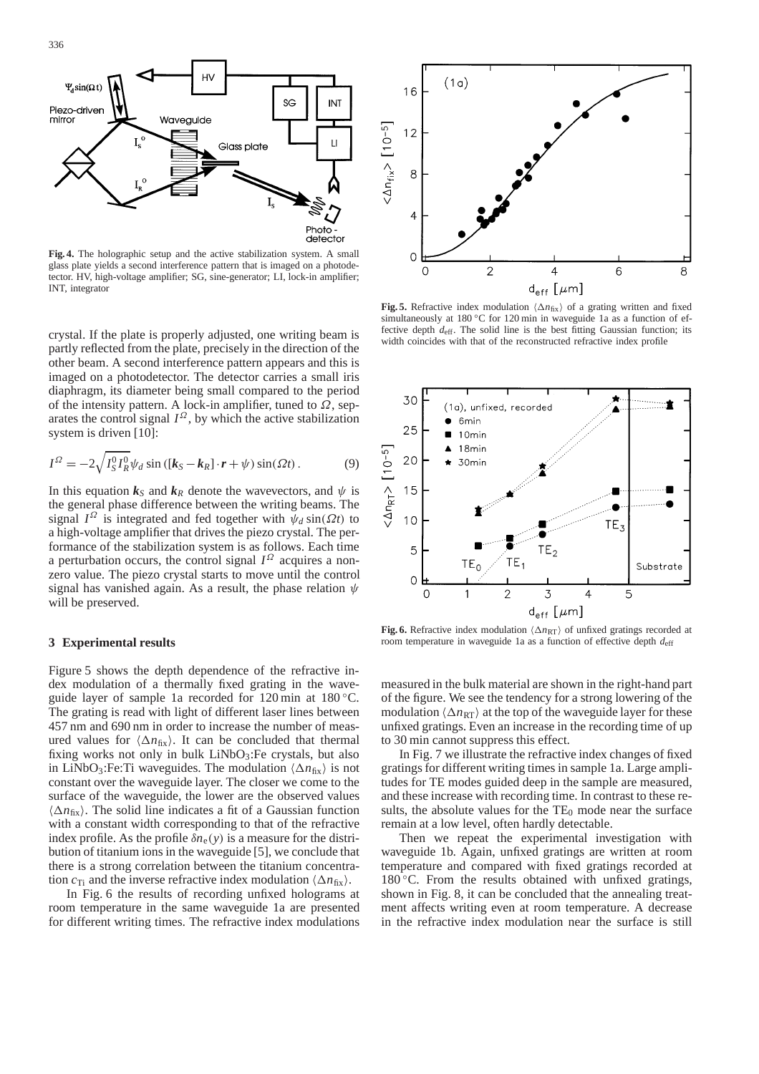

**Fig. 4.** The holographic setup and the active stabilization system. A small glass plate yields a second interference pattern that is imaged on a photodetector. HV, high-voltage amplifier; SG, sine-generator; LI, lock-in amplifier; INT, integrator

crystal. If the plate is properly adjusted, one writing beam is partly reflected from the plate, precisely in the direction of the other beam. A second interference pattern appears and this is imaged on a photodetector. The detector carries a small iris diaphragm, its diameter being small compared to the period of the intensity pattern. A lock-in amplifier, tuned to  $\Omega$ , separates the control signal  $I^{\Omega}$ , by which the active stabilization system is driven [10]:

$$
I^{\Omega} = -2\sqrt{I_S^0 I_R^0} \psi_d \sin\left(\left[k_S - k_R\right] \cdot r + \psi\right) \sin(\Omega t) \,. \tag{9}
$$

In this equation  $k_S$  and  $k_R$  denote the wavevectors, and  $\psi$  is the general phase difference between the writing beams. The signal  $I^{\Omega}$  is integrated and fed together with  $\psi_d \sin(\Omega t)$  to a high-voltage amplifier that drives the piezo crystal. The performance of the stabilization system is as follows. Each time a perturbation occurs, the control signal  $I^{\Omega}$  acquires a nonzero value. The piezo crystal starts to move until the control signal has vanished again. As a result, the phase relation  $\psi$ will be preserved.

#### **3 Experimental results**

Figure 5 shows the depth dependence of the refractive index modulation of a thermally fixed grating in the waveguide layer of sample 1a recorded for 120 min at 180 ◦C. The grating is read with light of different laser lines between 457 nm and 690 nm in order to increase the number of measured values for  $\langle \Delta n_{fix} \rangle$ . It can be concluded that thermal fixing works not only in bulk  $LiNbO<sub>3</sub>$ : Fe crystals, but also in LiNbO<sub>3</sub>:Fe:Ti waveguides. The modulation  $\langle \Delta n_{fix} \rangle$  is not constant over the waveguide layer. The closer we come to the surface of the waveguide, the lower are the observed values  $\langle \Delta n_{fix} \rangle$ . The solid line indicates a fit of a Gaussian function with a constant width corresponding to that of the refractive index profile. As the profile  $\delta n_e(y)$  is a measure for the distribution of titanium ions in the waveguide [5], we conclude that there is a strong correlation between the titanium concentration  $c_{Ti}$  and the inverse refractive index modulation  $\langle \Delta n_{fix} \rangle$ .

In Fig. 6 the results of recording unfixed holograms at room temperature in the same waveguide 1a are presented for different writing times. The refractive index modulations



**Fig. 5.** Refractive index modulation  $\langle \Delta n_{fix} \rangle$  of a grating written and fixed simultaneously at 180 ℃ for 120 min in waveguide 1a as a function of effective depth  $d_{\text{eff}}$ . The solid line is the best fitting Gaussian function; its width coincides with that of the reconstructed refractive index profile



**Fig. 6.** Refractive index modulation  $\langle \Delta n_{RT} \rangle$  of unfixed gratings recorded at room temperature in waveguide 1a as a function of effective depth  $d_{\text{eff}}$ 

measured in the bulk material are shown in the right-hand part of the figure. We see the tendency for a strong lowering of the modulation  $\langle \Delta n_{\text{RT}} \rangle$  at the top of the waveguide layer for these unfixed gratings. Even an increase in the recording time of up to 30 min cannot suppress this effect.

In Fig. 7 we illustrate the refractive index changes of fixed gratings for different writing times in sample 1a. Large amplitudes for TE modes guided deep in the sample are measured, and these increase with recording time. In contrast to these results, the absolute values for the  $TE_0$  mode near the surface remain at a low level, often hardly detectable.

Then we repeat the experimental investigation with waveguide 1b. Again, unfixed gratings are written at room temperature and compared with fixed gratings recorded at  $180^{\circ}$ C. From the results obtained with unfixed gratings, shown in Fig. 8, it can be concluded that the annealing treatment affects writing even at room temperature. A decrease in the refractive index modulation near the surface is still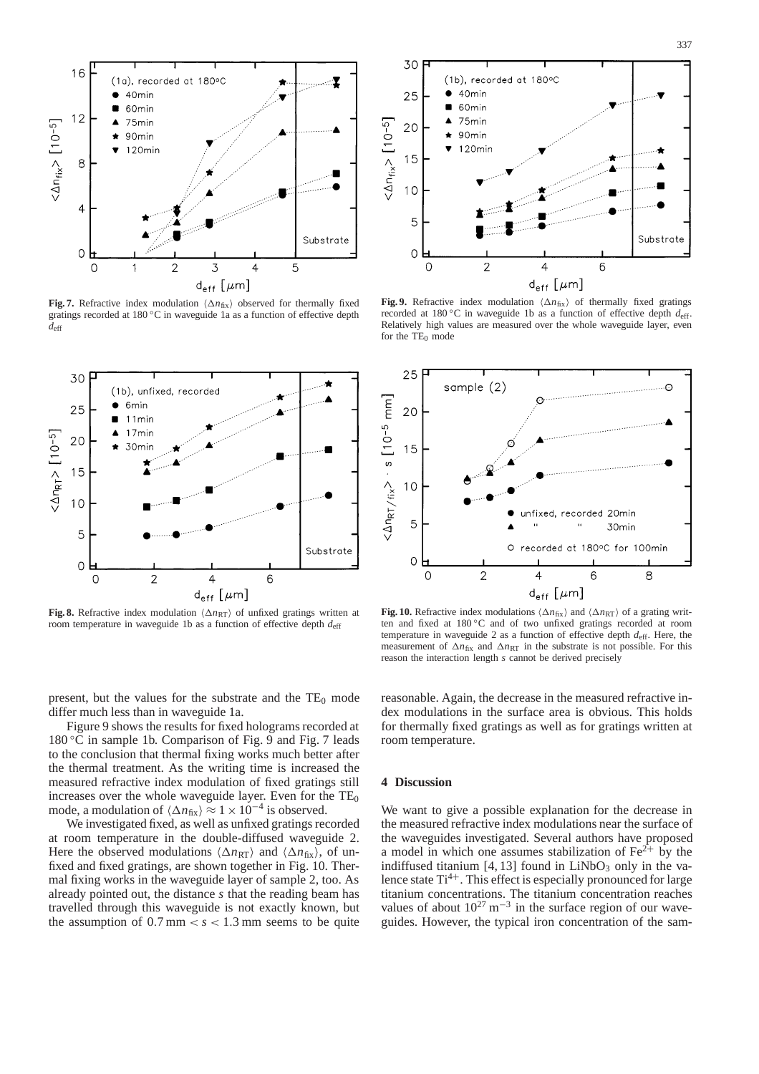

**Fig. 7.** Refractive index modulation  $\langle \Delta n_{fix} \rangle$  observed for thermally fixed gratings recorded at 180 °C in waveguide 1a as a function of effective depth *d*eff



**Fig. 8.** Refractive index modulation  $\langle \Delta n_{RT} \rangle$  of unfixed gratings written at room temperature in waveguide 1b as a function of effective depth  $d_{\text{eff}}$ 

present, but the values for the substrate and the  $TE_0$  mode differ much less than in waveguide 1a.

Figure 9 shows the results for fixed holograms recorded at  $180\degree$ C in sample 1b. Comparison of Fig. 9 and Fig. 7 leads to the conclusion that thermal fixing works much better after the thermal treatment. As the writing time is increased the measured refractive index modulation of fixed gratings still increases over the whole waveguide layer. Even for the  $TE_0$ mode, a modulation of  $\langle \Delta n_{fix} \rangle \approx 1 \times 10^{-4}$  is observed.

We investigated fixed, as well as unfixed gratings recorded at room temperature in the double-diffused waveguide 2. Here the observed modulations  $\langle \Delta n_{RT} \rangle$  and  $\langle \Delta n_{fix} \rangle$ , of unfixed and fixed gratings, are shown together in Fig. 10. Thermal fixing works in the waveguide layer of sample 2, too. As already pointed out, the distance *s* that the reading beam has travelled through this waveguide is not exactly known, but the assumption of  $0.7 \text{ mm} < s < 1.3 \text{ mm}$  seems to be quite



Fig. 9. Refractive index modulation  $\langle \Delta n_{fix} \rangle$  of thermally fixed gratings recorded at 180 ◦C in waveguide 1b as a function of effective depth *d*eff. Relatively high values are measured over the whole waveguide layer, even for the  $TE_0$  mode



**Fig. 10.** Refractive index modulations  $\langle \Delta n_{fix} \rangle$  and  $\langle \Delta n_{RT} \rangle$  of a grating written and fixed at 180 ◦C and of two unfixed gratings recorded at room temperature in waveguide 2 as a function of effective depth  $d_{\text{eff}}$ . Here, the measurement of  $\Delta n_{fix}$  and  $\Delta n_{RT}$  in the substrate is not possible. For this reason the interaction length *s* cannot be derived precisely

reasonable. Again, the decrease in the measured refractive index modulations in the surface area is obvious. This holds for thermally fixed gratings as well as for gratings written at room temperature.

# **4 Discussion**

We want to give a possible explanation for the decrease in the measured refractive index modulations near the surface of the waveguides investigated. Several authors have proposed a model in which one assumes stabilization of  $Fe^{2+}$  by the indiffused titanium  $[4, 13]$  found in LiNbO<sub>3</sub> only in the valence state  $Ti^{4+}$ . This effect is especially pronounced for large titanium concentrations. The titanium concentration reaches values of about  $10^{27}$  m<sup>-3</sup> in the surface region of our waveguides. However, the typical iron concentration of the sam